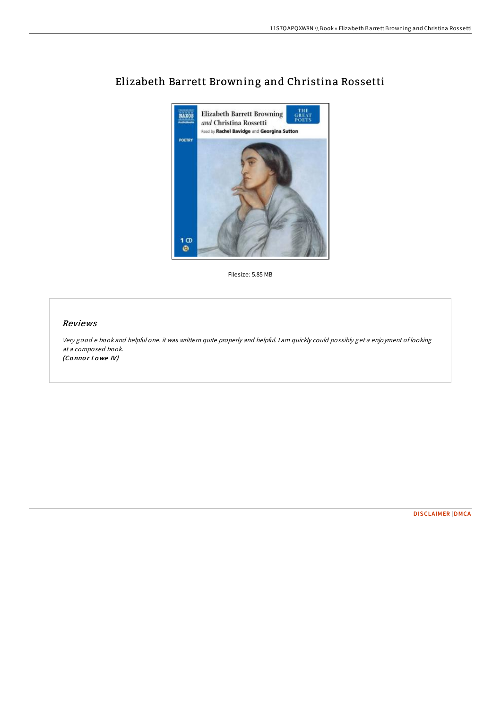

## Elizabeth Barrett Browning and Christina Rossetti

Filesize: 5.85 MB

## Reviews

Very good <sup>e</sup> book and helpful one. it was writtern quite properly and helpful. <sup>I</sup> am quickly could possibly get <sup>a</sup> enjoyment of looking at <sup>a</sup> composed book. (Connor Lowe IV)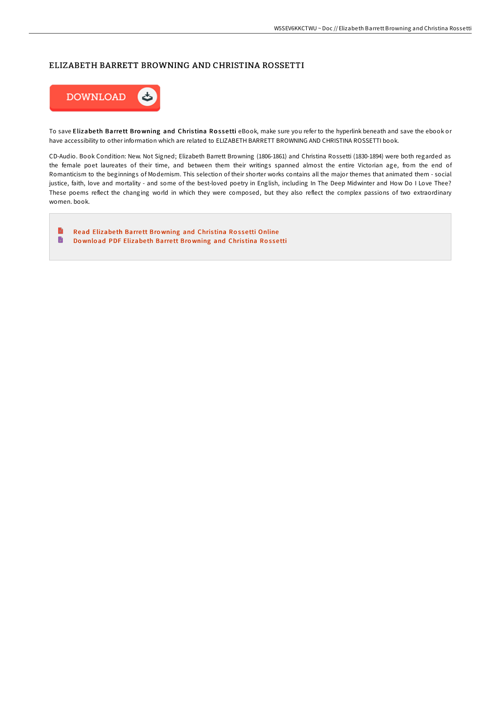## ELIZABETH BARRETT BROWNING AND CHRISTINA ROSSETTI



To save Elizabeth Barrett Browning and Christina Rossetti eBook, make sure you refer to the hyperlink beneath and save the ebook or have accessibility to other information which are related to ELIZABETH BARRETT BROWNING AND CHRISTINA ROSSETTI book.

CD-Audio. Book Condition: New. Not Signed; Elizabeth Barrett Browning (1806-1861) and Christina Rossetti (1830-1894) were both regarded as the female poet laureates of their time, and between them their writings spanned almost the entire Victorian age, from the end of Romanticism to the beginnings of Modernism. This selection of their shorter works contains all the major themes that animated them - social justice, faith, love and mortality - and some of the best-loved poetry in English, including In The Deep Midwinter and How Do I Love Thee? These poems reflect the changing world in which they were composed, but they also reflect the complex passions of two extraordinary women. book.

E Read [Elizabe](http://almighty24.tech/elizabeth-barrett-browning-and-christina-rossett.html)th Barrett Browning and Christina Rossetti Online D Do wnload PDF [Elizabe](http://almighty24.tech/elizabeth-barrett-browning-and-christina-rossett.html)th Barrett Browning and Christina Rossetti